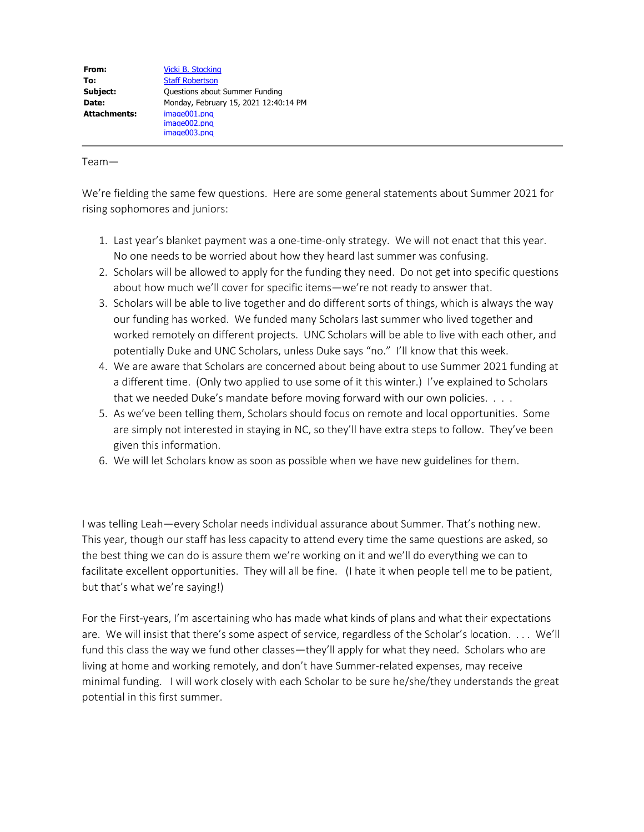Team—

We're fielding the same few questions. Here are some general statements about Summer 2021 for rising sophomores and juniors:

- 1. Last year's blanket payment was a one-time-only strategy. We will not enact that this year. No one needs to be worried about how they heard last summer was confusing.
- 2. Scholars will be allowed to apply for the funding they need. Do not get into specific questions about how much we'll cover for specific items—we're not ready to answer that.
- 3. Scholars will be able to live together and do different sorts of things, which is always the way our funding has worked. We funded many Scholars last summer who lived together and worked remotely on different projects. UNC Scholars will be able to live with each other, and potentially Duke and UNC Scholars, unless Duke says "no." I'll know that this week.
- 4. We are aware that Scholars are concerned about being about to use Summer 2021 funding at a different time. (Only two applied to use some of it this winter.) I've explained to Scholars that we needed Duke's mandate before moving forward with our own policies. . . .
- 5. As we've been telling them, Scholars should focus on remote and local opportunities. Some are simply not interested in staying in NC, so they'll have extra steps to follow. They've been given this information.
- 6. We will let Scholars know as soon as possible when we have new guidelines for them.

I was telling Leah—every Scholar needs individual assurance about Summer. That's nothing new. This year, though our staff has less capacity to attend every time the same questions are asked, so the best thing we can do is assure them we're working on it and we'll do everything we can to facilitate excellent opportunities. They will all be fine. (I hate it when people tell me to be patient, but that's what we're saying!)

For the First-years, I'm ascertaining who has made what kinds of plans and what their expectations are. We will insist that there's some aspect of service, regardless of the Scholar's location. . . . We'll fund this class the way we fund other classes—they'll apply for what they need. Scholars who are living at home and working remotely, and don't have Summer-related expenses, may receive minimal funding. I will work closely with each Scholar to be sure he/she/they understands the great potential in this first summer.